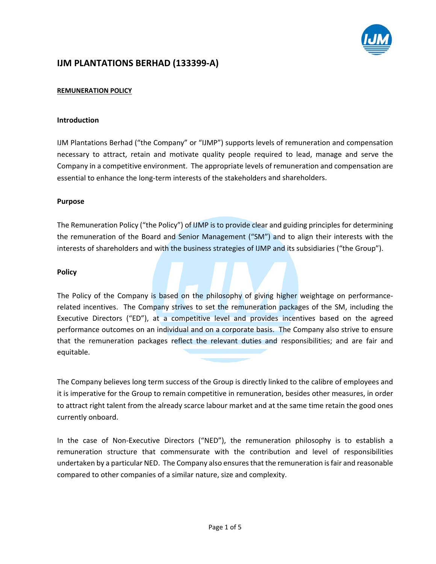

# **IJM PLANTATIONS BERHAD (133399‐A)**

## **REMUNERATION POLICY**

#### **Introduction**

IJM Plantations Berhad ("the Company" or "IJMP") supports levels of remuneration and compensation necessary to attract, retain and motivate quality people required to lead, manage and serve the Company in a competitive environment. The appropriate levels of remuneration and compensation are essential to enhance the long-term interests of the stakeholders and shareholders.

#### **Purpose**

The Remuneration Policy ("the Policy") of IJMP is to provide clear and guiding principles for determining the remuneration of the Board and Senior Management ("SM") and to align their interests with the interests of shareholders and with the business strategies of IJMP and its subsidiaries ("the Group").

#### **Policy**

The Policy of the Company is based on the philosophy of giving higher weightage on performance‐ related incentives. The Company strives to set the remuneration packages of the SM, including the Executive Directors ("ED"), at a competitive level and provides incentives based on the agreed performance outcomes on an individual and on a corporate basis. The Company also strive to ensure that the remuneration packages reflect the relevant duties and responsibilities; and are fair and equitable.

The Company believes long term success of the Group is directly linked to the calibre of employees and it is imperative for the Group to remain competitive in remuneration, besides other measures, in order to attract right talent from the already scarce labour market and at the same time retain the good ones currently onboard.

In the case of Non-Executive Directors ("NED"), the remuneration philosophy is to establish a remuneration structure that commensurate with the contribution and level of responsibilities undertaken by a particular NED. The Company also ensuresthat the remuneration isfair and reasonable compared to other companies of a similar nature, size and complexity.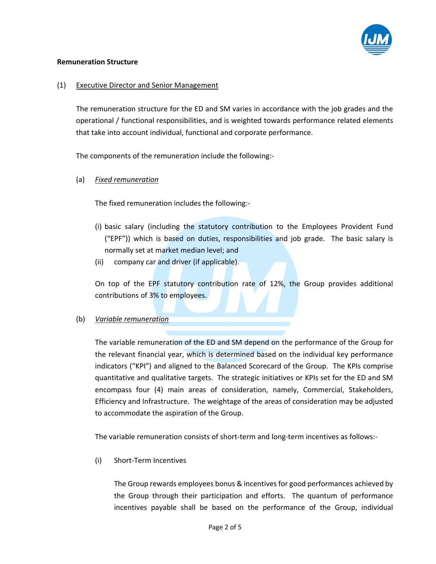

#### **Remuneration Structure**

### (1) Executive Director and Senior Management

The remuneration structure for the ED and SM varies in accordance with the job grades and the operational / functional responsibilities, and is weighted towards performance related elements that take into account individual, functional and corporate performance.

The components of the remuneration include the following:‐

(a) *Fixed remuneration*

The fixed remuneration includes the following:‐

- (i) basic salary (including the statutory contribution to the Employees Provident Fund ("EPF")) which is based on duties, responsibilities and job grade. The basic salary is normally set at market median level; and
- (ii) company car and driver (if applicable).

On top of the EPF statutory contribution rate of 12%, the Group provides additional contributions of 3% to employees.

#### (b) *Variable remuneration*

The variable remuneration of the ED and SM depend on the performance of the Group for the relevant financial year, which is determined based on the individual key performance indicators ("KPI") and aligned to the Balanced Scorecard of the Group. The KPIs comprise quantitative and qualitative targets. The strategic initiatives or KPIs set for the ED and SM encompass four (4) main areas of consideration, namely, Commercial, Stakeholders, Efficiency and Infrastructure. The weightage of the areas of consideration may be adjusted to accommodate the aspiration of the Group.

The variable remuneration consists of short‐term and long‐term incentives as follows:‐

(i) Short‐Term Incentives

The Group rewards employees bonus & incentives for good performances achieved by the Group through their participation and efforts. The quantum of performance incentives payable shall be based on the performance of the Group, individual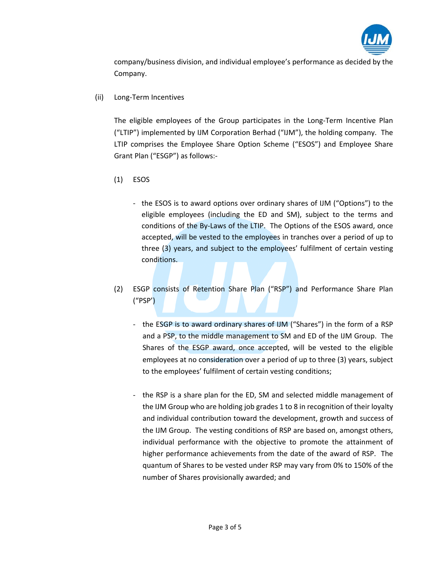

company/business division, and individual employee's performance as decided by the Company.

(ii) Long‐Term Incentives

The eligible employees of the Group participates in the Long-Term Incentive Plan ("LTIP") implemented by IJM Corporation Berhad ("IJM"), the holding company. The LTIP comprises the Employee Share Option Scheme ("ESOS") and Employee Share Grant Plan ("ESGP") as follows:‐

- (1) ESOS
	- ‐ the ESOS is to award options over ordinary shares of IJM ("Options") to the eligible employees (including the ED and SM), subject to the terms and conditions of the By-Laws of the LTIP. The Options of the ESOS award, once accepted, will be vested to the employees in tranches over a period of up to three (3) years, and subject to the employees' fulfilment of certain vesting conditions.
- (2) ESGP consists of Retention Share Plan ("RSP") and Performance Share Plan ("PSP')
	- ‐ the ESGP is to award ordinary shares of IJM ("Shares") in the form of a RSP and a PSP, to the middle management to SM and ED of the IJM Group. The Shares of the ESGP award, once accepted, will be vested to the eligible employees at no consideration over a period of up to three (3) years, subject to the employees' fulfilment of certain vesting conditions;
	- ‐ the RSP is a share plan for the ED, SM and selected middle management of the IJM Group who are holding job grades 1 to 8 in recognition of their loyalty and individual contribution toward the development, growth and success of the IJM Group. The vesting conditions of RSP are based on, amongst others, individual performance with the objective to promote the attainment of higher performance achievements from the date of the award of RSP. The quantum of Shares to be vested under RSP may vary from 0% to 150% of the number of Shares provisionally awarded; and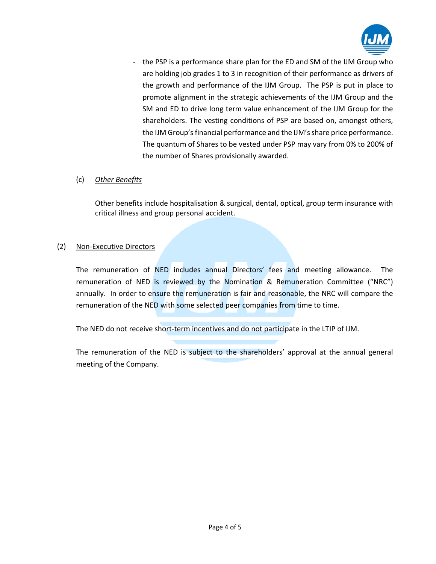

‐ the PSP is a performance share plan for the ED and SM of the IJM Group who are holding job grades 1 to 3 in recognition of their performance as drivers of the growth and performance of the IJM Group. The PSP is put in place to promote alignment in the strategic achievements of the IJM Group and the SM and ED to drive long term value enhancement of the IJM Group for the shareholders. The vesting conditions of PSP are based on, amongst others, the IJM Group's financial performance and the IJM's share price performance. The quantum of Shares to be vested under PSP may vary from 0% to 200% of the number of Shares provisionally awarded.

# (c) *Other Benefits*

Other benefits include hospitalisation & surgical, dental, optical, group term insurance with critical illness and group personal accident.

# (2) Non‐Executive Directors

The remuneration of NED includes annual Directors' fees and meeting allowance. The remuneration of NED is reviewed by the Nomination & Remuneration Committee ("NRC") annually. In order to ensure the remuneration is fair and reasonable, the NRC will compare the remuneration of the NED with some selected peer companies from time to time.

The NED do not receive short-term incentives and do not participate in the LTIP of IJM.

The remuneration of the NED is subject to the shareholders' approval at the annual general meeting of the Company.